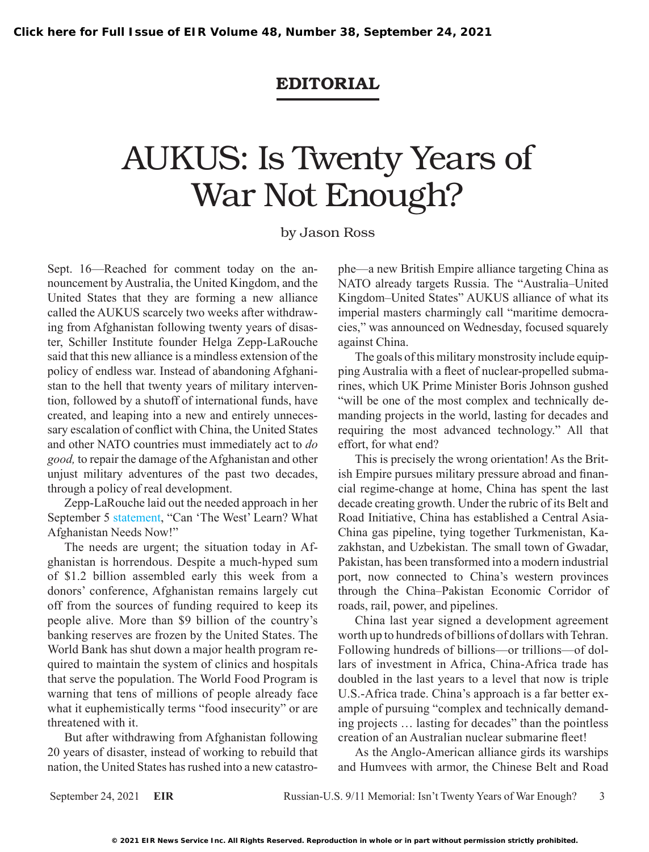## EDITORIAL

## AUKUS: Is Twenty Years of War Not Enough?

## by Jason Ross

Sept. 16—Reached for comment today on the announcement by Australia, the United Kingdom, and the United States that they are forming a new alliance called the AUKUS scarcely two weeks after withdrawing from Afghanistan following twenty years of disaster, Schiller Institute founder Helga Zepp-LaRouche said that this new alliance is a mindless extension of the policy of endless war. Instead of abandoning Afghanistan to the hell that twenty years of military intervention, followed by a shutoff of international funds, have created, and leaping into a new and entirely unnecessary escalation of conflict with China, the United States and other NATO countries must immediately act to *do good,* to repair the damage of the Afghanistan and other unjust military adventures of the past two decades, through a policy of real development.

Zepp-LaRouche laid out the needed approach in her September 5 [statement,](https://schillerinstitute.com/blog/2021/09/06/can-the-west-learn-what-afghanistan-needs-now/) "Can 'The West' Learn? What Afghanistan Needs Now!"

The needs are urgent; the situation today in Afghanistan is horrendous. Despite a much-hyped sum of \$1.2 billion assembled early this week from a donors' conference, Afghanistan remains largely cut off from the sources of funding required to keep its people alive. More than \$9 billion of the country's banking reserves are frozen by the United States. The World Bank has shut down a major health program required to maintain the system of clinics and hospitals that serve the population. The World Food Program is warning that tens of millions of people already face what it euphemistically terms "food insecurity" or are threatened with it.

But after withdrawing from Afghanistan following 20 years of disaster, instead of working to rebuild that nation, the United States has rushed into a new catastro-

phe—a new British Empire alliance targeting China as NATO already targets Russia. The "Australia–United Kingdom–United States" AUKUS alliance of what its imperial masters charmingly call "maritime democracies," was announced on Wednesday, focused squarely against China.

The goals of this military monstrosity include equipping Australia with a fleet of nuclear-propelled submarines, which UK Prime Minister Boris Johnson gushed "will be one of the most complex and technically demanding projects in the world, lasting for decades and requiring the most advanced technology." All that effort, for what end?

This is precisely the wrong orientation! As the British Empire pursues military pressure abroad and financial regime-change at home, China has spent the last decade creating growth. Under the rubric of its Belt and Road Initiative, China has established a Central Asia-China gas pipeline, tying together Turkmenistan, Kazakhstan, and Uzbekistan. The small town of Gwadar, Pakistan, has been transformed into a modern industrial port, now connected to China's western provinces through the China–Pakistan Economic Corridor of roads, rail, power, and pipelines.

China last year signed a development agreement worth up to hundreds of billions of dollars with Tehran. Following hundreds of billions—or trillions—of dollars of investment in Africa, China-Africa trade has doubled in the last years to a level that now is triple U.S.-Africa trade. China's approach is a far better example of pursuing "complex and technically demanding projects … lasting for decades" than the pointless creation of an Australian nuclear submarine fleet!

As the Anglo-American alliance girds its warships and Humvees with armor, the Chinese Belt and Road

September 24, 2021 **EIR** Russian-U.S. 9/11 Memorial: Isn't Twenty Years of War Enough? 3